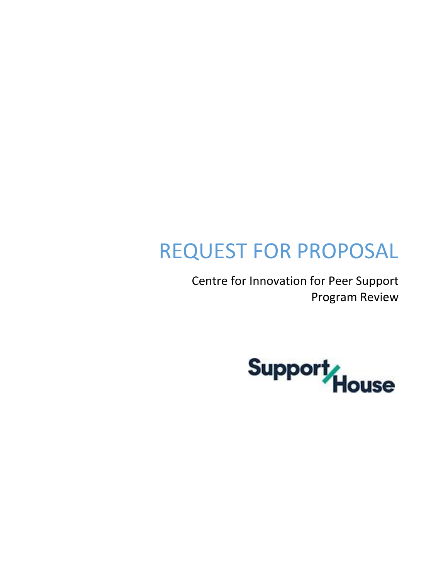# REQUEST FOR PROPOSAL

Centre for Innovation for Peer Support Program Review

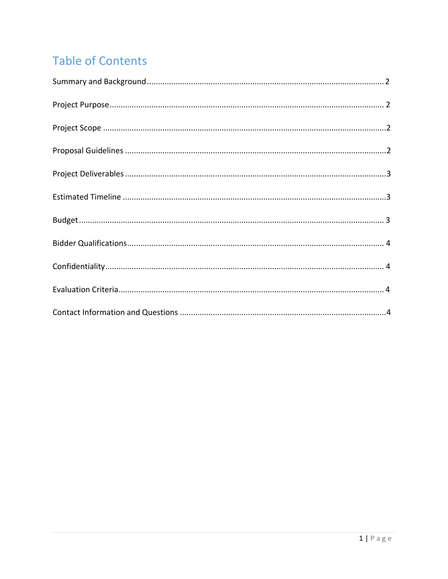# **Table of Contents**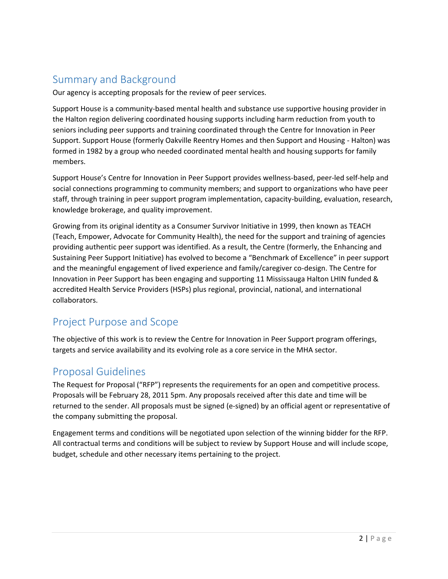# <span id="page-2-0"></span>Summary and Background

Our agency is accepting proposals for the review of peer services.

Support House is a community-based mental health and substance use supportive housing provider in the Halton region delivering coordinated housing supports including harm reduction from youth to seniors including peer supports and training coordinated through the Centre for Innovation in Peer Support. Support House (formerly Oakville Reentry Homes and then Support and Housing - Halton) was formed in 1982 by a group who needed coordinated mental health and housing supports for family members.

Support House's Centre for Innovation in Peer Support provides wellness-based, peer-led self-help and social connections programming to community members; and support to organizations who have peer staff, through training in peer support program implementation, capacity-building, evaluation, research, knowledge brokerage, and quality improvement.

Growing from its original identity as a Consumer Survivor Initiative in 1999, then known as TEACH (Teach, Empower, Advocate for Community Health), the need for the support and training of agencies providing authentic peer support was identified. As a result, the Centre (formerly, the Enhancing and Sustaining Peer Support Initiative) has evolved to become a "Benchmark of Excellence" in peer support and the meaningful engagement of lived experience and family/caregiver co-design. The Centre for Innovation in Peer Support has been engaging and supporting 11 Mississauga Halton LHIN funded & accredited Health Service Providers (HSPs) plus regional, provincial, national, and international collaborators.

# Project Purpose and Scope

The objective of this work is to review the Centre for Innovation in Peer Support program offerings, targets and service availability and its evolving role as a core service in the MHA sector.

#### <span id="page-2-1"></span>Proposal Guidelines

The Request for Proposal ("RFP") represents the requirements for an open and competitive process. Proposals will be February 28, 2011 5pm. Any proposals received after this date and time will be returned to the sender. All proposals must be signed (e-signed) by an official agent or representative of the company submitting the proposal.

Engagement terms and conditions will be negotiated upon selection of the winning bidder for the RFP. All contractual terms and conditions will be subject to review by Support House and will include scope, budget, schedule and other necessary items pertaining to the project.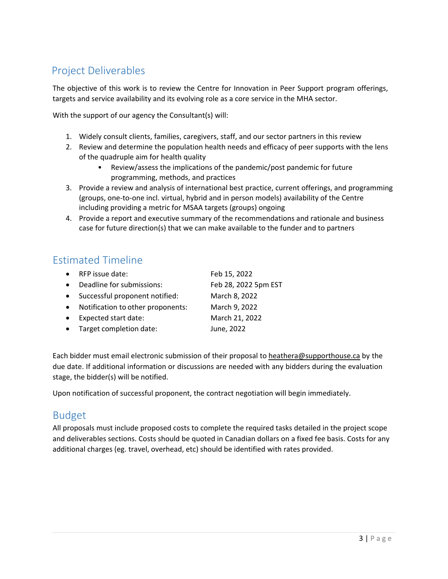# <span id="page-3-0"></span>Project Deliverables

The objective of this work is to review the Centre for Innovation in Peer Support program offerings, targets and service availability and its evolving role as a core service in the MHA sector.

With the support of our agency the Consultant(s) will:

- 1. Widely consult clients, families, caregivers, staff, and our sector partners in this review
- 2. Review and determine the population health needs and efficacy of peer supports with the lens of the quadruple aim for health quality
	- Review/assess the implications of the pandemic/post pandemic for future programming, methods, and practices
- 3. Provide a review and analysis of international best practice, current offerings, and programming (groups, one-to-one incl. virtual, hybrid and in person models) availability of the Centre including providing a metric for MSAA targets (groups) ongoing
- 4. Provide a report and executive summary of the recommendations and rationale and business case for future direction(s) that we can make available to the funder and to partners

### <span id="page-3-1"></span>Estimated Timeline

| $\bullet$ | RFP issue date:                   | Feb 15, 2022         |
|-----------|-----------------------------------|----------------------|
| $\bullet$ | Deadline for submissions:         | Feb 28, 2022 5pm EST |
| $\bullet$ | Successful proponent notified:    | March 8, 2022        |
| $\bullet$ | Notification to other proponents: | March 9, 2022        |
| $\bullet$ | Expected start date:              | March 21, 2022       |
| $\bullet$ | Target completion date:           | June, 2022           |
|           |                                   |                      |

Each bidder must email electronic submission of their proposal to [heathera@supporthouse.ca](mailto:heathera@supporthouse.ca) by the due date. If additional information or discussions are needed with any bidders during the evaluation stage, the bidder(s) will be notified.

Upon notification of successful proponent, the contract negotiation will begin immediately.

#### <span id="page-3-2"></span>Budget

All proposals must include proposed costs to complete the required tasks detailed in the project scope and deliverables sections. Costs should be quoted in Canadian dollars on a fixed fee basis. Costs for any additional charges (eg. travel, overhead, etc) should be identified with rates provided.